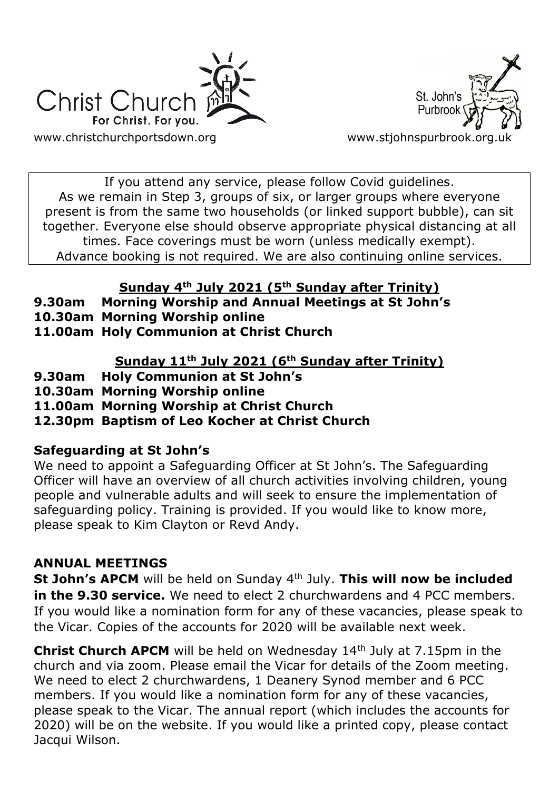



If you attend any service, please follow Covid guidelines. As we remain in Step 3, groups of six, or larger groups where everyone present is from the same two households (or linked support bubble), can sit together. Everyone else should observe appropriate physical distancing at all times. Face coverings must be worn (unless medically exempt). Advance booking is not required. We are also continuing online services.

### **Sunday 4th July 2021 (5th Sunday after Trinity)**

- **9.30am Morning Worship and Annual Meetings at St John's**
- **10.30am Morning Worship online**
- **11.00am Holy Communion at Christ Church**

### **Sunday 11th July 2021 (6th Sunday after Trinity)**

- **9.30am Holy Communion at St John's**
- **10.30am Morning Worship online**
- **11.00am Morning Worship at Christ Church**
- **12.30pm Baptism of Leo Kocher at Christ Church**

### **Safeguarding at St John's**

We need to appoint a Safeguarding Officer at St John's. The Safeguarding Officer will have an overview of all church activities involving children, young people and vulnerable adults and will seek to ensure the implementation of safeguarding policy. Training is provided. If you would like to know more, please speak to Kim Clayton or Revd Andy.

### **ANNUAL MEETINGS**

**St John's APCM** will be held on Sunday 4<sup>th</sup> July. This will now be included **in the 9.30 service.** We need to elect 2 churchwardens and 4 PCC members. If you would like a nomination form for any of these vacancies, please speak to the Vicar. Copies of the accounts for 2020 will be available next week.

**Christ Church APCM** will be held on Wednesday 14<sup>th</sup> July at 7.15pm in the church and via zoom. Please email the Vicar for details of the Zoom meeting. We need to elect 2 churchwardens, 1 Deanery Synod member and 6 PCC members. If you would like a nomination form for any of these vacancies, please speak to the Vicar. The annual report (which includes the accounts for 2020) will be on the website. If you would like a printed copy, please contact Jacqui Wilson.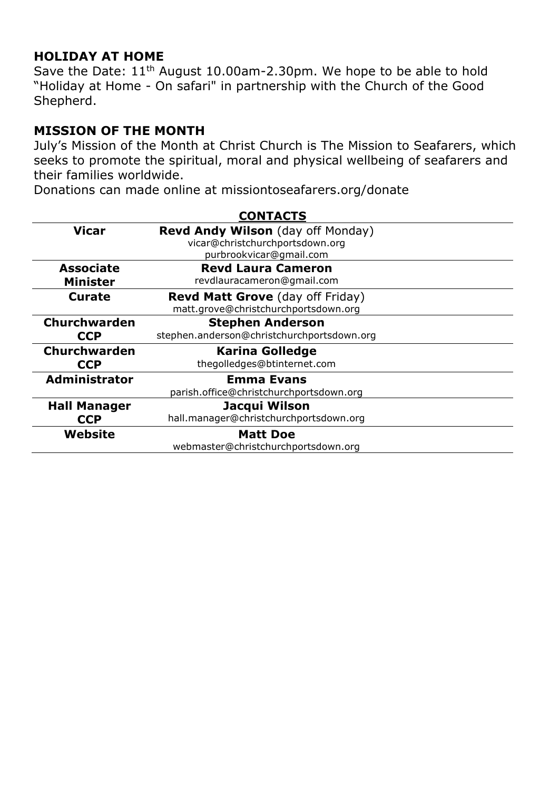### **HOLIDAY AT HOME**

Save the Date:  $11<sup>th</sup>$  August 10.00am-2.30pm. We hope to be able to hold "Holiday at Home - On safari" in partnership with the Church of the Good Shepherd.

#### **MISSION OF THE MONTH**

July's Mission of the Month at Christ Church is The Mission to Seafarers, which seeks to promote the spiritual, moral and physical wellbeing of seafarers and their families worldwide.

Donations can made online at missiontoseafarers.org/donate

| <b>CONTACTS</b>      |                                            |
|----------------------|--------------------------------------------|
| <b>Vicar</b>         | <b>Revd Andy Wilson</b> (day off Monday)   |
|                      | vicar@christchurchportsdown.org            |
|                      | purbrookvicar@gmail.com                    |
| <b>Associate</b>     | <b>Revd Laura Cameron</b>                  |
| <b>Minister</b>      | revdlauracameron@gmail.com                 |
| <b>Curate</b>        | <b>Revd Matt Grove</b> (day off Friday)    |
|                      | matt.grove@christchurchportsdown.org       |
| <b>Churchwarden</b>  | <b>Stephen Anderson</b>                    |
| <b>CCP</b>           | stephen.anderson@christchurchportsdown.org |
| Churchwarden         | <b>Karina Golledge</b>                     |
| <b>CCP</b>           | thegolledges@btinternet.com                |
| <b>Administrator</b> | <b>Emma Evans</b>                          |
|                      | parish.office@christchurchportsdown.org    |
| <b>Hall Manager</b>  | Jacqui Wilson                              |
| <b>CCP</b>           | hall.manager@christchurchportsdown.org     |
| Website              | <b>Matt Doe</b>                            |
|                      | webmaster@christchurchportsdown.org        |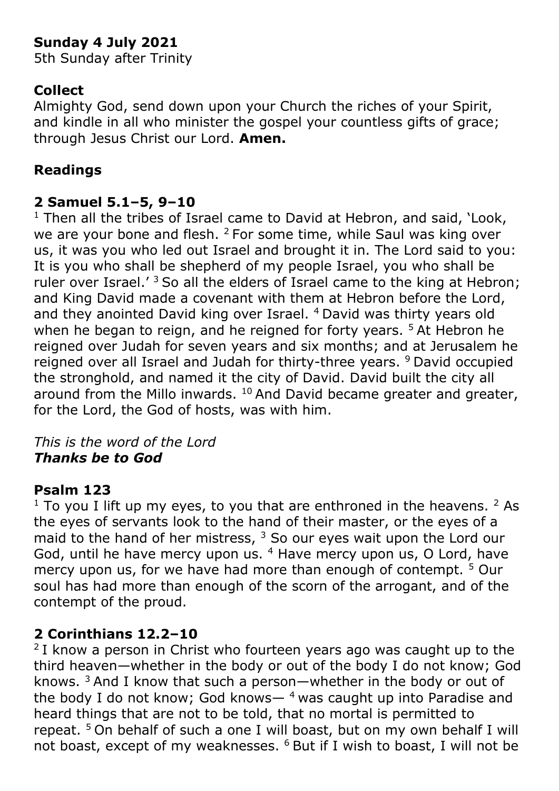# **Sunday 4 July 2021**

5th Sunday after Trinity

# **Collect**

Almighty God, send down upon your Church the riches of your Spirit, and kindle in all who minister the gospel your countless gifts of grace; through Jesus Christ our Lord. **Amen.**

# **Readings**

# **2 Samuel 5.1–5, 9–10**

 $1$  Then all the tribes of Israel came to David at Hebron, and said,  $'$ Look, we are your bone and flesh. <sup>2</sup> For some time, while Saul was king over us, it was you who led out Israel and brought it in. The Lord said to you: It is you who shall be shepherd of my people Israel, you who shall be ruler over Israel.<sup> $3$ </sup> So all the elders of Israel came to the king at Hebron; and King David made a covenant with them at Hebron before the Lord, and they anointed David king over Israel. <sup>4</sup> David was thirty years old when he began to reign, and he reigned for forty years.<sup>5</sup> At Hebron he reigned over Judah for seven years and six months; and at Jerusalem he reigned over all Israel and Judah for thirty-three years. <sup>9</sup> David occupied the stronghold, and named it the city of David. David built the city all around from the Millo inwards.  $10$  And David became greater and greater, for the Lord, the God of hosts, was with him.

### *This is the word of the Lord Thanks be to God*

# **Psalm 123**

 $1$  To you I lift up my eyes, to you that are enthroned in the heavens.  $2$  As the eyes of servants look to the hand of their master, or the eyes of a maid to the hand of her mistress,  $3$  So our eyes wait upon the Lord our God, until he have mercy upon us. <sup>4</sup> Have mercy upon us, O Lord, have mercy upon us, for we have had more than enough of contempt. <sup>5</sup> Our soul has had more than enough of the scorn of the arrogant, and of the contempt of the proud.

# **2 Corinthians 12.2–10**

 $2$ I know a person in Christ who fourteen years ago was caught up to the third heaven—whether in the body or out of the body I do not know; God knows.  $3$  And I know that such a person—whether in the body or out of the body I do not know; God knows—  $4$  was caught up into Paradise and heard things that are not to be told, that no mortal is permitted to repeat. <sup>5</sup> On behalf of such a one I will boast, but on my own behalf I will not boast, except of my weaknesses. <sup>6</sup> But if I wish to boast, I will not be